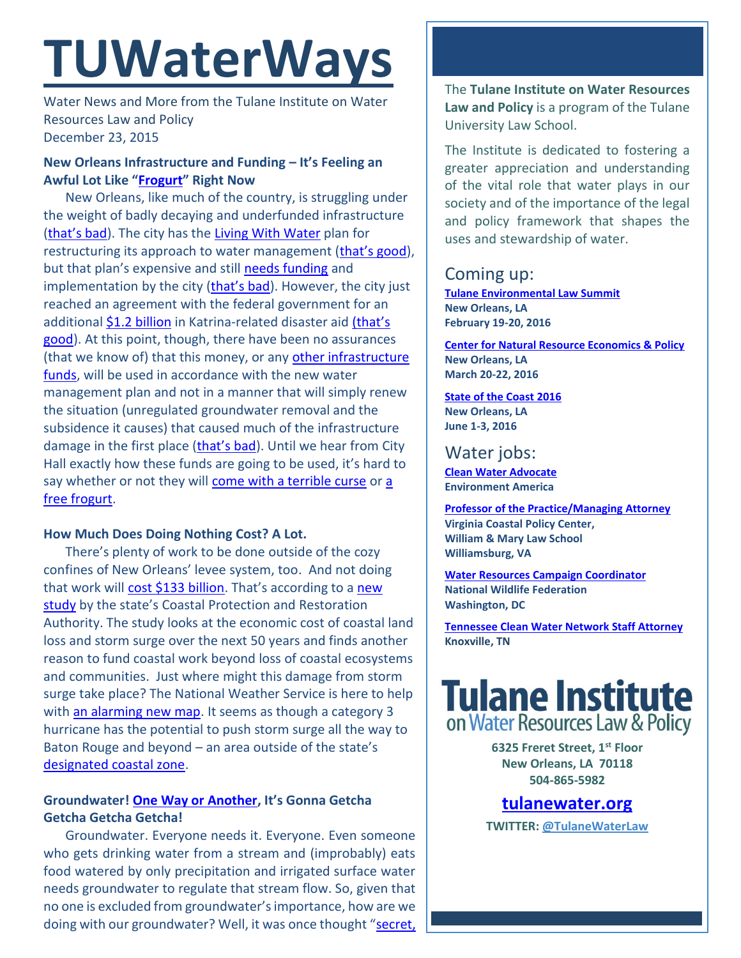# **TUWaterWays**

Water News and More from the Tulane Institute on Water Resources Law and Policy December 23, 2015

# **New Orleans Infrastructure and Funding – It's Feeling an Awful Lot Like "[Frogurt](https://www.youtube.com/watch?v=Krbl911ZPBA)" Right Now**

New Orleans, like much of the country, is struggling under the weight of badly decaying and underfunded infrastructure ([that's bad](http://www.vancitybuzz.com/wp-content/uploads/2015/04/homer-bad.jpg)). The city has the [Living With Water](http://livingwithwater.com/) plan for restructuring its approach to water management ([that's good](http://www.vancitybuzz.com/wp-content/uploads/2015/04/homer-good.jpg)), but that plan's expensive and still [needs funding](http://www.nola.com/environment/index.ssf/2015/12/new_orleans_urban_water_plan_a.html) and implementation by the city ([that's bad](http://www.vancitybuzz.com/wp-content/uploads/2015/04/homer-bad.jpg)). However, the city just reached an agreement with the federal government for an additiona[l \\$1.2 billion](http://www.nola.com/politics/index.ssf/2015/12/in_historic_accord_fema_to_pay.html) in Katrina-related disaster aid (that's [good\)](http://www.vancitybuzz.com/wp-content/uploads/2015/04/homer-good.jpg). At this point, though, there have been no assurances (that we know of) that this money, or any [other infrastructure](http://www.nola.com/politics/index.ssf/2015/12/merry_christmas_new_orleans_fr.html)  [funds,](http://www.nola.com/politics/index.ssf/2015/12/merry_christmas_new_orleans_fr.html) will be used in accordance with the new water management plan and not in a manner that will simply renew the situation (unregulated groundwater removal and the subsidence it causes) that caused much of the infrastructure damage in the first place ([that's bad](http://www.vancitybuzz.com/wp-content/uploads/2015/04/homer-bad.jpg)). Until we hear from City Hall exactly how these funds are going to be used, it's hard to say whether or not they will [come with a terrible curse](https://38.media.tumblr.com/0f22f6540d370e61c993ab143940fa51/tumblr_mruku4p0GM1szisbjo1_250.gif) o[r a](https://31.media.tumblr.com/cb1e7a27ab48918260f22a01966e4306/tumblr_mruku4p0GM1szisbjo2_250.gif)  [free frogurt.](https://31.media.tumblr.com/cb1e7a27ab48918260f22a01966e4306/tumblr_mruku4p0GM1szisbjo2_250.gif)

## **How Much Does Doing Nothing Cost? A Lot.**

There's plenty of work to be done outside of the cozy confines of New Orleans' levee system, too. And not doing that work will [cost \\$133 billion.](http://www.therepublic.com/view/story/6c1b59c4e551462c871fea938e03596f/LA--Coastal-Erosion-Cost) That's according to a new [study](http://coastal.la.gov/wp-content/uploads/2015/12/LSU-Rand_Report_on_Economics_of_Land_Loss-2.pdf) by the state's Coastal Protection and Restoration Authority. The study looks at the economic cost of coastal land loss and storm surge over the next 50 years and finds another reason to fund coastal work beyond loss of coastal ecosystems and communities. Just where might this damage from storm surge take place? The National Weather Service is here to help with [an alarming new map.](http://thelensnola.org/2015/12/21/new-storm-surge-maps-from-feds-shows-worst-case-scenarios/) It seems as though a category 3 hurricane has the potential to push storm surge all the way to Baton Rouge and beyond – an area outside of the state's [designated coastal zone.](http://lacoastpost.com/blog/wp-content/uploads/2009/05/2002-06crm-map-lg-1024x439.jpg)

# **Groundwater! [One Way or Another](https://www.youtube.com/watch?v=4kg9LasvLFE), It's Gonna Getcha Getcha Getcha Getcha!**

Groundwater. Everyone needs it. Everyone. Even someone who gets drinking water from a stream and (improbably) eats food watered by only precipitation and irrigated surface water needs groundwater to regulate that stream flow. So, given that no one is excluded from groundwater's importance, how are we doing with our groundwater? Well, it was once thought "secret,

The **Tulane Institute on Water Resources Law and Policy** is a program of the Tulane University Law School.

The Institute is dedicated to fostering a greater appreciation and understanding of the vital role that water plays in our society and of the importance of the legal and policy framework that shapes the uses and stewardship of water.

# Coming up:

**[Tulane Environmental Law Summit](http://tulaneenvironmentallawsummit.com/) New Orleans, LA February 19-20, 2016**

**[Center for Natural Resource Economics & Policy](http://www.cnrep.lsu.edu/2016/) New Orleans, LA March 20-22, 2016**

#### **[State of the Coast](http://stateofthecoast.org/) 2016 New Orleans, LA June 1-3, 2016**

# Water jobs:

**[Clean Water Advocate](http://jobs.environmentamerica.org/clean-water-advocate.html) Environment America**

**[Professor of the Practice/Managing Attorney](https://jobs.wm.edu/postings/22816) Virginia Coastal Policy Center, William & Mary Law School Williamsburg, VA**

**[Water Resources Campaign Coordinator](https://nwf.applicantpro.com/jobs/314523.html) National Wildlife Federation Washington, DC**

**[Tennessee Clean Water Network Staff Attorney](http://www.tcwn.org/job-opening-staff-attorney/) Knoxville, TN**

# **Tulane Institute** on Water Resources Law & Policy

**6325 Freret Street, 1st Floor New Orleans, LA 70118 504-865-5982** 

# **[tulanewater.org](file:///C:/Users/waterlaw/Downloads/tulanewater.org)**

**TWITTER: [@TulaneWaterLaw](http://www.twitter.com/TulaneWaterLaw)**